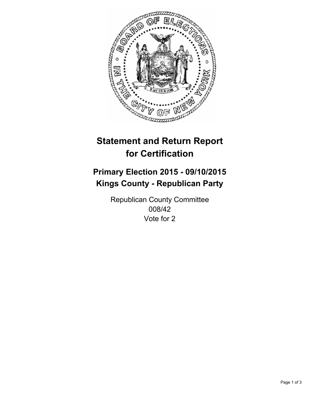

# **Statement and Return Report for Certification**

## **Primary Election 2015 - 09/10/2015 Kings County - Republican Party**

Republican County Committee 008/42 Vote for 2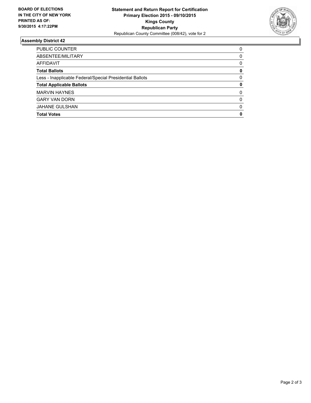

#### **Assembly District 42**

| PUBLIC COUNTER                                           | 0        |
|----------------------------------------------------------|----------|
| ABSENTEE/MILITARY                                        | 0        |
| AFFIDAVIT                                                | 0        |
| <b>Total Ballots</b>                                     | 0        |
| Less - Inapplicable Federal/Special Presidential Ballots | 0        |
| <b>Total Applicable Ballots</b>                          | 0        |
| <b>MARVIN HAYNES</b>                                     | 0        |
| <b>GARY VAN DORN</b>                                     | $\Omega$ |
| <b>JAHANE GULSHAN</b>                                    | $\Omega$ |
| <b>Total Votes</b>                                       | 0        |